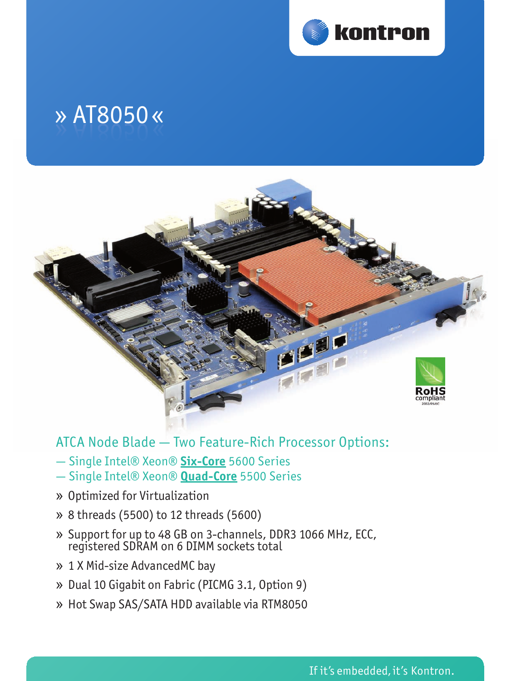

# » » AT8050 AT8050 « «



## ATCA Node Blade — Two Feature-Rich Processor Options:

- Single Intel® Xeon® **Six-Core** 5600 Series
- Single Intel® Xeon® **Quad-Core** 5500 Series
- » Optimized for Virtualization
- » 8 threads (5500) to 12 threads (5600)
- » Support for up to 48 GB on 3-channels, DDR3 1066 MHz, ECC, registered SDRAM on 6 DIMM sockets total
- » 1 X Mid-size AdvancedMC bay
- » Dual 10 Gigabit on Fabric (PICMG 3.1, Option 9)
- » Hot Swap SAS/SATA HDD available via RTM8050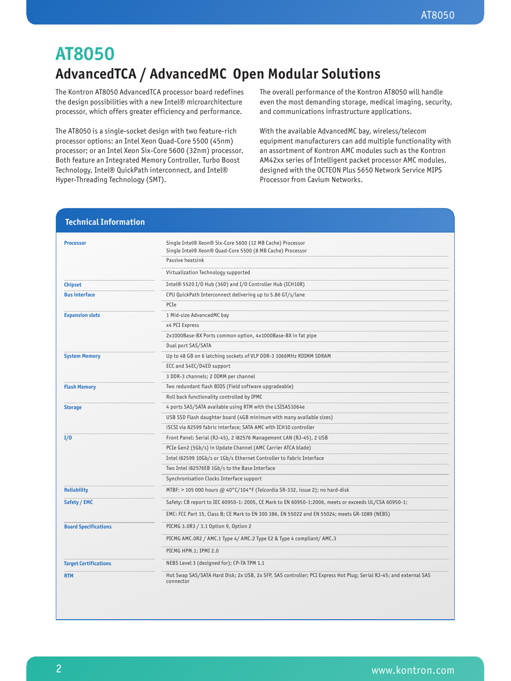# **AT8050**

# **AdvancedTCA / AdvancedMC Open Modular Solutions**

The Kontron AT8050 AdvancedTCA processor board redefines the design possibilities with a new Intel® microarchitecture processor, which offers greater efficiency and performance.

The AT8050 is a single-socket design with two feature-rich processor options: an Intel Xeon Quad-Core 5500 (45nm) processor; or an Intel Xeon Six-Core 5600 (32nm) processor. Both feature an Integrated Memory Controller, Turbo Boost Technology, Intel® QuickPath interconnect, and Intel® Hyper-Threading Technology (SMT).

The overall performance of the Kontron AT8050 will handle even the most demanding storage, medical imaging, security, and communications infrastructure applications.

With the available AdvancedMC bay, wireless/telecom equipment manufacturers can add multiple functionality with an assortment of Kontron AMC modules such as the Kontron AM42xx series of Intelligent packet processor AMC modules, designed with the OCTEON Plus 5650 Network Service MIPS Processor from Cavium Networks.

| <b>Processor</b>             | Single Intel® Xeon® Six-Core 5600 (12 MB Cache) Processor<br>Single Intel® Xeon® Quad-Core 5500 (8 MB Cache) Processor         |  |
|------------------------------|--------------------------------------------------------------------------------------------------------------------------------|--|
|                              | Passive heatsink                                                                                                               |  |
|                              | Virtualization Technology supported                                                                                            |  |
| <b>Chipset</b>               | Intel® 5520 I/O Hub (36D) and I/O Controller Hub (ICH10R)                                                                      |  |
| <b>Bus interface</b>         | CPU QuickPath Interconnect delivering up to 5.86 GT/s/lane                                                                     |  |
|                              | PCIe                                                                                                                           |  |
| <b>Expansion slots</b>       | 1 Mid-size AdvancedMC bay                                                                                                      |  |
|                              | x4 PCI Express                                                                                                                 |  |
|                              | 2x1000Base-BX Ports common option, 4x1000Base-BX in fat pipe                                                                   |  |
|                              | Dual port SAS/SATA                                                                                                             |  |
| <b>System Memory</b>         | Up to 48 GB on 6 latching sockets of VLP DDR-3 1066MHz RDIMM SDRAM                                                             |  |
|                              | ECC and S4EC/D4ED support                                                                                                      |  |
|                              | 3 DDR-3 channels; 2 DIMM per channel                                                                                           |  |
| <b>Flash Memory</b>          | Two redundant flash BIOS (Field software upgradeable)                                                                          |  |
|                              | Roll back functionality controlled by IPMC                                                                                     |  |
| <b>Storage</b>               | 4 ports SAS/SATA available using RTM with the LSISAS1064e                                                                      |  |
|                              | USB SSD Flash daughter board (4GB minimum with many available sizes)                                                           |  |
|                              | iSCSI via 82599 fabric interface; SATA AMC with ICH10 controller                                                               |  |
| I/O                          | Front Panel: Serial (RJ-45), 2 i82576 Management LAN (RJ-45), 2 USB                                                            |  |
|                              | PCIe Gen2 (5Gb/s) in Update Channel (AMC Carrier ATCA blade)                                                                   |  |
|                              | Intel i82599 10Gb/s or 1Gb/s Ethernet Controller to Fabric Interface                                                           |  |
|                              | Two Intel i82576EB 1Gb/s to the Base Interface                                                                                 |  |
|                              | Synchronisation Clocks Interface support                                                                                       |  |
| <b>Reliability</b>           | MTBF: > 105 000 hours @ 40°C/104°F (Telcordia SR-332, issue 2); no hard-disk                                                   |  |
| Safety / EMC                 | Safety: CB report to IEC 60950-1: 2005, CE Mark to EN 60950-1:2006, meets or exceeds UL/CSA 60950-1;                           |  |
|                              | EMC: FCC Part 15, Class B; CE Mark to EN 300 386, EN 55022 and EN 55024; meets GR-1089 (NEBS)                                  |  |
| <b>Board Specifications</b>  | PICMG 3.0R3 / 3.1 Option 9, Option 2                                                                                           |  |
|                              | PICMG AMC.OR2 / AMC.1 Type 4/ AMC.2 Type E2 & Type 4 compliant/ AMC.3                                                          |  |
|                              | PICMG HPM.1; IPMI 2.0                                                                                                          |  |
| <b>Target Certifications</b> | NEBS Level 3 (designed for); CP-TA TPM 1.1                                                                                     |  |
| <b>RTM</b>                   | Hot Swap SAS/SATA Hard Disk; 2x USB, 2x SFP, SAS controller; PCI Express Hot Plug; Serial RJ-45; and external SAS<br>connector |  |